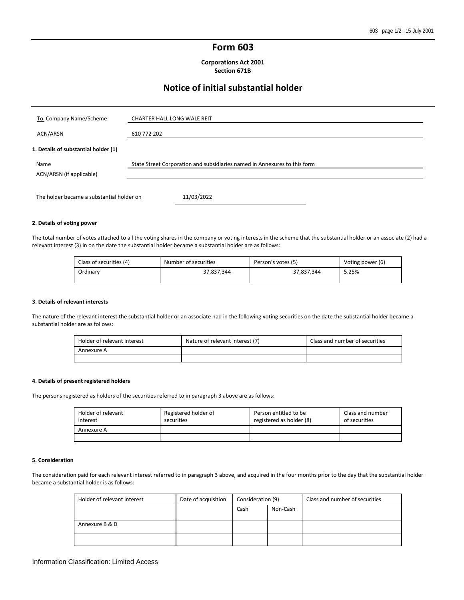## **Form 603**

**Corporations Act 2001 Section 671B**

# **Notice of initial substantial holder**

| To Company Name/Scheme               | <b>CHARTER HALL LONG WALE REIT</b>                                        |
|--------------------------------------|---------------------------------------------------------------------------|
| ACN/ARSN                             | 610 772 202                                                               |
| 1. Details of substantial holder (1) |                                                                           |
| Name<br>ACN/ARSN (if applicable)     | State Street Corporation and subsidiaries named in Annexures to this form |
|                                      |                                                                           |

#### **2. Details of voting power**

The total number of votes attached to all the voting shares in the company or voting interests in the scheme that the substantial holder or an associate (2) had a relevant interest (3) in on the date the substantial holder became a substantial holder are as follows:

| Class of securities (4) | Number of securities | Person's votes (5) | Voting power (6) |
|-------------------------|----------------------|--------------------|------------------|
| Ordinarv                | 37,837,344           | 37.837.344         | 5.25%            |

#### **3. Details of relevant interests**

The nature of the relevant interest the substantial holder or an associate had in the following voting securities on the date the substantial holder became a substantial holder are as follows:

| Holder of relevant interest | Nature of relevant interest (7) | Class and number of securities |
|-----------------------------|---------------------------------|--------------------------------|
| Annexure A                  |                                 |                                |
|                             |                                 |                                |

#### **4. Details of present registered holders**

The persons registered as holders of the securities referred to in paragraph 3 above are as follows:

| Holder of relevant<br>interest | Registered holder of<br>securities | Person entitled to be<br>registered as holder (8) | Class and number<br>of securities |
|--------------------------------|------------------------------------|---------------------------------------------------|-----------------------------------|
| Annexure A                     |                                    |                                                   |                                   |
|                                |                                    |                                                   |                                   |

#### **5. Consideration**

The consideration paid for each relevant interest referred to in paragraph 3 above, and acquired in the four months prior to the day that the substantial holder became a substantial holder is as follows:

| Holder of relevant interest | Date of acquisition | Consideration (9) |          | Class and number of securities |
|-----------------------------|---------------------|-------------------|----------|--------------------------------|
|                             |                     | Cash              | Non-Cash |                                |
|                             |                     |                   |          |                                |
| Annexure B & D              |                     |                   |          |                                |
|                             |                     |                   |          |                                |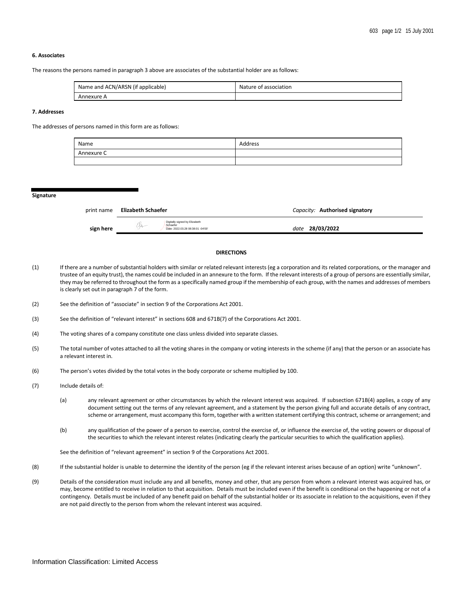#### **6. Associates**

The reasons the persons named in paragraph 3 above are associates of the substantial holder are as follows:

| Name and ACN/ARSN (if applicable) | Nature of association |
|-----------------------------------|-----------------------|
| Annexure A                        |                       |

#### **7. Addresses**

The addresses of persons named in this form are as follows:

| Name       | Address |
|------------|---------|
| Annexure C |         |
|            |         |

#### **Signature**

| print name | Elizabeth Schaefer |                                                                                | Capacity: Authorised signatory |
|------------|--------------------|--------------------------------------------------------------------------------|--------------------------------|
| sign here  |                    | Digitally signed by Elizabeth<br>Schaefer<br>Date: 2022.03.28 08:38:01 -04'00" | 28/03/2022<br>date             |

#### **DIRECTIONS**

- (1) If there are a number of substantial holders with similar or related relevant interests (eg a corporation and its related corporations, or the manager and trustee of an equity trust), the names could be included in an annexure to the form. If the relevant interests of a group of persons are essentially similar, they may be referred to throughout the form as a specifically named group if the membership of each group, with the names and addresses of members is clearly set out in paragraph 7 of the form.
- (2) See the definition of "associate" in section 9 of the Corporations Act 2001.
- (3) See the definition of "relevant interest" in sections 608 and 671B(7) of the Corporations Act 2001.
- (4) The voting shares of a company constitute one class unless divided into separate classes.
- (5) The total number of votes attached to all the voting shares in the company or voting interests in the scheme (if any) that the person or an associate has a relevant interest in.
- (6) The person's votes divided by the total votes in the body corporate or scheme multiplied by 100.
- (7) Include details of:
	- (a) any relevant agreement or other circumstances by which the relevant interest was acquired. If subsection 671B(4) applies, a copy of any document setting out the terms of any relevant agreement, and a statement by the person giving full and accurate details of any contract, scheme or arrangement, must accompany this form, together with a written statement certifying this contract, scheme or arrangement; and
	- (b) any qualification of the power of a person to exercise, control the exercise of, or influence the exercise of, the voting powers or disposal of the securities to which the relevant interest relates (indicating clearly the particular securities to which the qualification applies).

See the definition of "relevant agreement" in section 9 of the Corporations Act 2001.

- (8) If the substantial holder is unable to determine the identity of the person (eg if the relevant interest arises because of an option) write "unknown".
- (9) Details of the consideration must include any and all benefits, money and other, that any person from whom a relevant interest was acquired has, or may, become entitled to receive in relation to that acquisition. Details must be included even if the benefit is conditional on the happening or not of a contingency. Details must be included of any benefit paid on behalf of the substantial holder or its associate in relation to the acquisitions, even if they are not paid directly to the person from whom the relevant interest was acquired.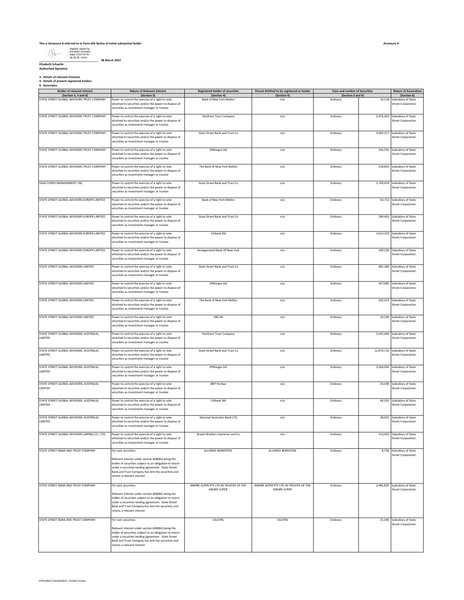#### **This is Annexure A referred to in Form 603 Notice of initial substantial holder**

Digitally signed by Elizabeth Schaefer Date: 2022.03.28 08:38:35 -04'00'

**\_\_\_\_\_\_\_\_\_\_\_\_\_\_\_\_\_\_\_\_\_\_\_\_\_\_\_\_\_\_\_\_\_\_\_\_\_\_ 28 March 2022 Elizabeth Schaefer Authorised Signatory**

**3. Details of relevant interests 4. Details of present registered holders 6. Associates**

| Holder of relevant interest<br>(Section 3, 4 and 6) | Nature of Relevant Interest<br>(Section 3)                                                                                                                                                                                                              | <b>Registered Holder of securities</b><br>(Section 4) | Person Entitled to be registered as holder<br>(Section 4) | Class and number of Securities<br>(Section 3 and 4) |           | Nature of Association<br>(Section 6)                        |
|-----------------------------------------------------|---------------------------------------------------------------------------------------------------------------------------------------------------------------------------------------------------------------------------------------------------------|-------------------------------------------------------|-----------------------------------------------------------|-----------------------------------------------------|-----------|-------------------------------------------------------------|
| STATE STREET GLOBAL ADVISORS TRUST COMPANY          | Power to control the exercise of a right to vote<br>attached to securities and/or the power to dispose of<br>securities as investment manager or trustee                                                                                                | Bank of New York Mellon                               | n/a                                                       | Ordinary                                            | 16,118    | Subsidiary of State<br><b>Street Corporation</b>            |
| STATE STREET GLOBAL ADVISORS TRUST COMPANY          | Power to control the exercise of a right to vote<br>attached to securities and/or the power to dispose of<br>securities as investment manager or trustee                                                                                                | Northern Trust Company                                | n/a                                                       | Ordinary                                            | 2,476,302 | Subsidiary of State<br><b>Street Corporation</b>            |
| STATE STREET GLOBAL ADVISORS TRUST COMPANY          | Power to control the exercise of a right to vote<br>attached to securities and/or the power to dispose of<br>securities as investment manager or trustee                                                                                                | State Street Bank and Trust Co                        | n/a                                                       | Ordinary                                            |           | 5,902,317 Subsidiary of State<br><b>Street Corporation</b>  |
| STATE STREET GLOBAL ADVISORS TRUST COMPANY          | Power to control the exercise of a right to vote<br>attached to securities and/or the power to dispose of<br>securities as investment manager or trustee                                                                                                | JPMorgan AG                                           | n/a                                                       | Ordinary                                            | 142,555   | Subsidiary of State<br><b>Street Corporation</b>            |
| STATE STREET GLOBAL ADVISORS TRUST COMPANY          | Power to control the exercise of a right to vote<br>attached to securities and/or the power to dispose of<br>securities as investment manager or trustee                                                                                                | The Bank of New York Mellon                           | n/a                                                       | Ordinary                                            |           | 258,833 Subsidiary of State<br><b>Street Corporation</b>    |
| SSGA FUNDS MANAGEMENT, INC.                         | Power to control the exercise of a right to vote<br>attached to securities and/or the power to dispose of<br>securities as investment manager or trustee                                                                                                | State Street Bank and Trust Co                        | n/a                                                       | Ordinary                                            |           | 1,749,419 Subsidiary of State<br><b>Street Corporation</b>  |
| STATE STREET GLOBAL ADVISORS EUROPE LIMITED         | Power to control the exercise of a right to vote<br>attached to securities and/or the power to dispose of<br>ecurities as investment manager or trustee                                                                                                 | Bank of New York Mellon                               | n/a                                                       | Ordinary                                            |           | 43,712 Subsidiary of State<br><b>Street Corporation</b>     |
| STATE STREET GLOBAL ADVISORS EUROPE LIMITED         | Power to control the exercise of a right to vote<br>attached to securities and/or the power to dispose of<br>securities as investment manager or trustee                                                                                                | State Street Bank and Trust Co                        | n/a                                                       | Ordinary                                            | 189,402   | Subsidiary of State<br><b>Street Corporation</b>            |
| STATE STREET GLOBAL ADVISORS EUROPE LIMITED         | Power to control the exercise of a right to vote<br>attached to securities and/or the power to dispose of<br>securities as investment manager or trustee                                                                                                | Citibank NA                                           | n/a                                                       | Ordinary                                            |           | 1,614,329 Subsidiary of State<br><b>Street Corporation</b>  |
| STATE STREET GLOBAL ADVISORS EUROPE LIMITED         | Power to control the exercise of a right to vote<br>attached to securities and/or the power to dispose of<br>ecurities as investment manager or trustee                                                                                                 | Amalgamated Bank Of New York                          | n/a                                                       | Ordinary                                            |           | 109,230 Subsidiary of State<br><b>Street Corporation</b>    |
| STATE STREET GLOBAL ADVISORS LIMITED                | Power to control the exercise of a right to vote<br>attached to securities and/or the power to dispose of<br>securities as investment manager or trustee                                                                                                | State Street Bank and Trust Co                        | n/a                                                       | Ordinary                                            | 482,384   | Subsidiary of State<br><b>Street Corporation</b>            |
| STATE STREET GLOBAL ADVISORS LIMITED                | Power to control the exercise of a right to vote<br>attached to securities and/or the power to dispose of<br>securities as investment manager or trustee                                                                                                | JPMorgan AG                                           | n/a                                                       | Ordinary                                            |           | 347,085 Subsidiary of State<br><b>Street Corporation</b>    |
| STATE STREET GLOBAL ADVISORS LIMITED                | Power to control the exercise of a right to vote<br>attached to securities and/or the power to dispose of<br>securities as investment manager or trustee                                                                                                | The Bank of New York Mellon                           | n/a                                                       | Ordinary                                            |           | 242,553 Subsidiary of State<br><b>Street Corporation</b>    |
| STATE STREET GLOBAL ADVISORS LIMITED                | Power to control the exercise of a right to vote<br>attached to securities and/or the power to dispose of<br>securities as investment manager or trustee                                                                                                | UBS AG                                                | n/a                                                       | Ordinary                                            |           | 20,240 Subsidiary of State<br><b>Street Corporation</b>     |
| STATE STREET GLOBAL ADVISORS, AUSTRALIA,<br>LIMITED | Power to control the exercise of a right to vote<br>attached to securities and/or the power to dispose of<br>securities as investment manager or trustee                                                                                                | Northern Trust Company                                | n/a                                                       | Ordinary                                            |           | 5,342,469 Subsidiary of State<br><b>Street Corporation</b>  |
| STATE STREET GLOBAL ADVISORS, AUSTRALIA,<br>LIMITED | Power to control the exercise of a right to vote<br>attached to securities and/or the power to dispose of<br>securities as investment manager or trustee                                                                                                | State Street Bank and Trust Co                        | n/a                                                       | Ordinary                                            |           | 12,970,716 Subsidiary of State<br><b>Street Corporation</b> |
| STATE STREET GLOBAL ADVISORS, AUSTRALIA,<br>LIMITED | Power to control the exercise of a right to vote<br>attached to securities and/or the power to dispose of<br>securities as investment manager or trustee                                                                                                | JPMorgan AG                                           | n/a                                                       | Ordinary                                            | 2,264,956 | Subsidiary of State<br><b>Street Corporation</b>            |
| STATE STREET GLOBAL ADVISORS, AUSTRALIA,<br>LIMITED | Power to control the exercise of a right to vote<br>attached to securities and/or the power to dispose of<br>securities as investment manager or trustee                                                                                                | <b>BNP Paribas</b>                                    | n/a                                                       | Ordinary                                            | 33,438    | Subsidiary of State<br><b>Street Corporation</b>            |
| STATE STREET GLOBAL ADVISORS, AUSTRALIA,<br>LIMITED | Power to control the exercise of a right to vote<br>attached to securities and/or the power to dispose of<br>securities as investment manager or trustee                                                                                                | Citibank NA                                           | n/a                                                       | Ordinary                                            | 66,355    | Subsidiary of State<br><b>Street Corporation</b>            |
| STATE STREET GLOBAL ADVISORS, AUSTRALIA,<br>LIMITED | Power to control the exercise of a right to vote<br>attached to securities and/or the power to dispose of<br>securities as investment manager or trustee                                                                                                | National Australian Bank LTD                          | n/a                                                       | Ordinary                                            | 38,055    | Subsidiary of State<br><b>Street Corporation</b>            |
| STATE STREET GLOBAL ADVISORS (JAPAN) CO., LTD.      | Power to control the exercise of a right to vote<br>attached to securities and/or the power to dispose of<br>securities as investment manager or trustee                                                                                                | Brown Brothers Harriman and Co                        | n/a                                                       | Ordinary                                            |           | 114,422 Subsidiary of State<br><b>Street Corporation</b>    |
| STATE STREET BANK AND TRUST COMPANY                 | For Lent securities:                                                                                                                                                                                                                                    | ALLIANCE BERNSTEIN                                    | ALLIANCE BERNSTEIN                                        | Ordinary                                            |           | 8,758 Subsidiary of State<br><b>Street Corporation</b>      |
|                                                     | Relevant interest under section 608(8A) being the<br>holder of securities subject to an obligation to return<br>under a securities lending agreement. State Street<br>Bank and Trust Company has lent the securities and<br>retains a relevant interest |                                                       |                                                           |                                                     |           |                                                             |
| STATE STREET BANK AND TRUST COMPANY                 | For Lent securities:                                                                                                                                                                                                                                    | AWARE SUPER PTY LTD AS TRUSTEE OF THE                 | AWARE SUPER PTY LTD AS TRUSTEE OF THE                     | Ordinary                                            |           | 2,485,825 Subsidiary of State                               |
|                                                     | Relevant interest under section 608(8A) being the<br>holder of securities subject to an obligation to return<br>under a securities lending agreement. State Street<br>Bank and Trust Company has lent the securities and<br>etains a relevant interest  | AWARE SUPER                                           | AWARE SUPER                                               |                                                     |           | <b>Street Corporation</b>                                   |
| STATE STREET BANK AND TRUST COMPANY                 | For Lent securities:                                                                                                                                                                                                                                    | CALSTRS                                               | CALSTRS                                                   | Ordinary                                            |           | 21,396 Subsidiary of State                                  |
|                                                     | Relevant interest under section 608(8A) being the<br>holder of securities subject to an obligation to return<br>under a securities lending agreement. State Street<br>Bank and Trust Company has lent the securities and<br>etains a relevant interest  |                                                       |                                                           |                                                     |           | <b>Street Corporation</b>                                   |

**Class and number of Securities**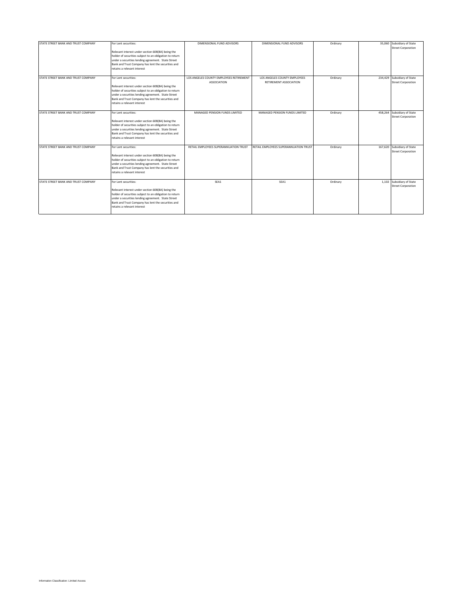| STATE STREET BANK AND TRUST COMPANY | For Lent securities:<br>Relevant interest under section 608(8A) being the<br>holder of securities subject to an obligation to return<br>under a securities lending agreement. State Street<br>Bank and Trust Company has lent the securities and<br>retains a relevant interest | DIMENSIONAL FUND ADVISORS                                     | DIMENSIONAL FUND ADVISORS                              | Ordinary | 35.060  | Subsidiary of State<br><b>Street Corporation</b>         |
|-------------------------------------|---------------------------------------------------------------------------------------------------------------------------------------------------------------------------------------------------------------------------------------------------------------------------------|---------------------------------------------------------------|--------------------------------------------------------|----------|---------|----------------------------------------------------------|
| STATE STREET BANK AND TRUST COMPANY | For Lent securities:<br>Relevant interest under section 608(8A) being the<br>holder of securities subject to an obligation to return<br>under a securities lending agreement. State Street<br>Bank and Trust Company has lent the securities and<br>retains a relevant interest | LOS ANGELES COUNTY EMPLOYEES RETIREMENT<br><b>ASSOCIATION</b> | LOS ANGELES COUNTY EMPLOYEES<br>RETIREMENT ASSOCIATION | Ordinary |         | 234,429 Subsidiary of State<br><b>Street Corporation</b> |
| STATE STREET BANK AND TRUST COMPANY | For Lent securities:<br>Relevant interest under section 608(8A) being the<br>holder of securities subject to an obligation to return<br>under a securities lending agreement. State Street<br>Bank and Trust Company has lent the securities and<br>retains a relevant interest | MANAGED PENSION FUNDS LIMITED                                 | MANAGED PENSION FUNDS LIMITED                          | Ordinary | 458,264 | Subsidiary of State<br><b>Street Corporation</b>         |
| STATE STREET BANK AND TRUST COMPANY | For Lent securities:<br>Relevant interest under section 608(8A) being the<br>holder of securities subject to an obligation to return<br>under a securities lending agreement. State Street<br>Bank and Trust Company has lent the securities and<br>retains a relevant interest | RETAIL EMPLOYEES SUPERANNUATION TRUST                         | RETAIL EMPLOYEES SUPERANNUATION TRUST                  | Ordinary |         | 167,620 Subsidiary of State<br><b>Street Corporation</b> |
| STATE STREET BANK AND TRUST COMPANY | For Lent securities:<br>Relevant interest under section 608(8A) being the<br>holder of securities subject to an obligation to return<br>under a securities lending agreement. State Street<br>Bank and Trust Company has lent the securities and<br>retains a relevant interest | SEA1                                                          | SEA1                                                   | Ordinary |         | 1,102 Subsidiary of State<br><b>Street Corporation</b>   |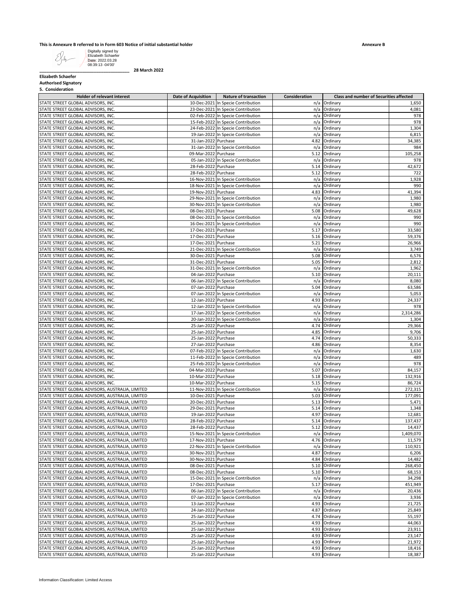**This is Annexure B referred to in Form 603 Notice of initial substantial holder**<br>
Elizabeth Schaefer<br> **Elizabeth Schaefer**<br> **Elizabeth Schaefer**<br> **COLOGER:** 2022.03.28 Digitally signed by Elizabeth Schaefer Date: 2022.03.28 08:39:13 -04'00'

**\_\_\_\_\_\_\_\_\_\_\_\_\_\_\_\_\_\_\_\_\_\_\_\_\_\_\_\_\_\_\_\_\_\_\_\_\_\_ 28 March 2022**

**Elizabeth Schaefer Authorised Signatory**

**5. Consideration**

| <b>Holder of relevant interest</b>               | <b>Date of Acquisition</b> | <b>Nature of transaction</b>       | Consideration | <b>Class and number of Securities affected</b> |           |
|--------------------------------------------------|----------------------------|------------------------------------|---------------|------------------------------------------------|-----------|
| STATE STREET GLOBAL ADVISORS, INC.               |                            | 10-Dec-2021 In Specie Contribution | n/a           | Ordinary                                       | 1,650     |
|                                                  |                            |                                    |               |                                                |           |
| STATE STREET GLOBAL ADVISORS, INC.               |                            | 23-Dec-2021 In Specie Contribution |               | n/a Ordinary                                   | 4,081     |
| STATE STREET GLOBAL ADVISORS. INC.               |                            | 02-Feb-2022 In Specie Contribution | n/a           | Ordinary                                       | 978       |
| STATE STREET GLOBAL ADVISORS, INC.               |                            | 15-Feb-2022 In Specie Contribution | n/a           | Ordinary                                       | 978       |
|                                                  |                            |                                    |               |                                                |           |
| STATE STREET GLOBAL ADVISORS, INC.               |                            | 24-Feb-2022 In Specie Contribution | n/a           | Ordinary                                       | 1,304     |
| STATE STREET GLOBAL ADVISORS, INC.               |                            | 19-Jan-2022 In Specie Contribution | n/a           | Ordinary                                       | 6,815     |
| STATE STREET GLOBAL ADVISORS, INC.               | 31-Jan-2022 Purchase       |                                    | 4.82          | Ordinary                                       | 34,385    |
|                                                  |                            |                                    |               |                                                |           |
| STATE STREET GLOBAL ADVISORS, INC.               |                            | 31-Jan-2022 In Specie Contribution | n/a           | Ordinary                                       | 984       |
| STATE STREET GLOBAL ADVISORS, INC.               | 09-Mar-2022 Purchase       |                                    | 5.12          | Ordinary                                       | 105,258   |
| STATE STREET GLOBAL ADVISORS, INC.               |                            |                                    |               |                                                | 978       |
|                                                  |                            | 05-Jan-2022 In Specie Contribution | n/a           | Ordinary                                       |           |
| STATE STREET GLOBAL ADVISORS, INC.               | 28-Feb-2022 Purchase       |                                    | 5.14          | Ordinary                                       | 42,672    |
| STATE STREET GLOBAL ADVISORS, INC.               | 28-Feb-2022 Purchase       |                                    |               | 5.12 Ordinary                                  | 722       |
|                                                  |                            |                                    |               |                                                |           |
| STATE STREET GLOBAL ADVISORS, INC.               |                            | 16-Nov-2021 In Specie Contribution | n/a           | Ordinary                                       | 1,928     |
| STATE STREET GLOBAL ADVISORS, INC.               |                            | 18-Nov-2021 In Specie Contribution | n/a           | Ordinary                                       | 990       |
| STATE STREET GLOBAL ADVISORS, INC.               | 19-Nov-2021 Purchase       |                                    | 4.83          | Ordinary                                       | 41,394    |
|                                                  |                            |                                    |               |                                                |           |
| STATE STREET GLOBAL ADVISORS, INC.               |                            | 29-Nov-2021 In Specie Contribution | n/a           | Ordinary                                       | 1,980     |
| STATE STREET GLOBAL ADVISORS, INC.               |                            | 30-Nov-2021 In Specie Contribution | n/a           | Ordinary                                       | 1,980     |
| STATE STREET GLOBAL ADVISORS, INC.               | 08-Dec-2021 Purchase       |                                    | 5.08          | Ordinary                                       | 49,628    |
|                                                  |                            |                                    |               |                                                |           |
| STATE STREET GLOBAL ADVISORS, INC.               |                            | 08-Dec-2021 In Specie Contribution | n/a           | Ordinary                                       | 990       |
| STATE STREET GLOBAL ADVISORS, INC.               |                            | 16-Dec-2021 In Specie Contribution | n/a           | Ordinary                                       | 990       |
| STATE STREET GLOBAL ADVISORS, INC.               | 17-Dec-2021 Purchase       |                                    | 5.17          | Ordinary                                       | 33,580    |
|                                                  |                            |                                    |               |                                                |           |
| STATE STREET GLOBAL ADVISORS, INC.               | 17-Dec-2021 Purchase       |                                    |               | 5.16 Ordinary                                  | 59,376    |
| STATE STREET GLOBAL ADVISORS, INC.               | 17-Dec-2021 Purchase       |                                    | 5.21          | Ordinary                                       | 26,966    |
| STATE STREET GLOBAL ADVISORS, INC.               |                            | 21-Dec-2021 In Specie Contribution | n/a           | Ordinary                                       | 3,749     |
|                                                  |                            |                                    |               |                                                |           |
| STATE STREET GLOBAL ADVISORS, INC.               | 30-Dec-2021 Purchase       |                                    | 5.08          | Ordinary                                       | 6,576     |
| STATE STREET GLOBAL ADVISORS, INC.               | 31-Dec-2021 Purchase       |                                    | 5.05          | Ordinary                                       | 2,812     |
| STATE STREET GLOBAL ADVISORS, INC.               |                            | 31-Dec-2021 In Specie Contribution | n/a           | Ordinary                                       | 1,962     |
|                                                  |                            |                                    |               |                                                |           |
| STATE STREET GLOBAL ADVISORS, INC.               | 04-Jan-2022 Purchase       |                                    | 5.10          | Ordinary                                       | 20,111    |
| STATE STREET GLOBAL ADVISORS, INC.               |                            | 06-Jan-2022 In Specie Contribution | n/a           | Ordinary                                       | 8,080     |
|                                                  |                            |                                    |               |                                                |           |
| STATE STREET GLOBAL ADVISORS, INC.               | 07-Jan-2022 Purchase       |                                    | 5.04          | Ordinary                                       | 63,586    |
| STATE STREET GLOBAL ADVISORS, INC.               |                            | 07-Jan-2022 In Specie Contribution | n/a           | Ordinary                                       | 5,053     |
| STATE STREET GLOBAL ADVISORS, INC.               | 12-Jan-2022 Purchase       |                                    | 4.93          | Ordinary                                       | 24,337    |
|                                                  |                            |                                    |               |                                                |           |
| STATE STREET GLOBAL ADVISORS, INC.               |                            | 12-Jan-2022 In Specie Contribution | n/a           | Ordinary                                       | 978       |
| STATE STREET GLOBAL ADVISORS, INC.               |                            | 17-Jan-2022 In Specie Contribution | n/a           | Ordinary                                       | 2,314,286 |
| STATE STREET GLOBAL ADVISORS, INC.               |                            | 20-Jan-2022 In Specie Contribution | n/a           | Ordinary                                       | 1,304     |
|                                                  |                            |                                    |               |                                                |           |
| STATE STREET GLOBAL ADVISORS, INC.               | 25-Jan-2022 Purchase       |                                    | 4.74          | Ordinary                                       | 29,366    |
| STATE STREET GLOBAL ADVISORS, INC.               | 25-Jan-2022 Purchase       |                                    | 4.85          | Ordinary                                       | 9,706     |
| STATE STREET GLOBAL ADVISORS, INC.               | 25-Jan-2022 Purchase       |                                    | 4.74          | Ordinary                                       | 50,333    |
|                                                  |                            |                                    |               |                                                |           |
| STATE STREET GLOBAL ADVISORS, INC.               | 27-Jan-2022 Purchase       |                                    | 4.86          | Ordinary                                       | 8,354     |
| STATE STREET GLOBAL ADVISORS, INC.               |                            | 07-Feb-2022 In Specie Contribution | n/a           | Ordinary                                       | 1,630     |
| STATE STREET GLOBAL ADVISORS, INC.               |                            | 11-Feb-2022 In Specie Contribution | n/a           | Ordinary                                       | 489       |
|                                                  |                            |                                    |               |                                                |           |
| STATE STREET GLOBAL ADVISORS, INC.               |                            | 25-Feb-2022 In Specie Contribution | n/a           | Ordinary                                       | 978       |
| STATE STREET GLOBAL ADVISORS, INC.               | 04-Mar-2022 Purchase       |                                    | 5.07          | Ordinary                                       | 84,157    |
| STATE STREET GLOBAL ADVISORS, INC.               | 10-Mar-2022 Purchase       |                                    | 5.18          | Ordinary                                       | 132,916   |
|                                                  |                            |                                    |               |                                                |           |
| STATE STREET GLOBAL ADVISORS, INC.               | 10-Mar-2022 Purchase       |                                    | 5.15          | Ordinary                                       | 86,724    |
| STATE STREET GLOBAL ADVISORS, AUSTRALIA, LIMITED |                            | 11-Nov-2021 In Specie Contribution | n/a           | Ordinary                                       | 272,315   |
|                                                  | 10-Dec-2021 Purchase       |                                    |               |                                                | 177,091   |
| STATE STREET GLOBAL ADVISORS, AUSTRALIA, LIMITED |                            |                                    |               | 5.03 Ordinary                                  |           |
| STATE STREET GLOBAL ADVISORS, AUSTRALIA, LIMITED | 20-Dec-2021 Purchase       |                                    | 5.13          | Ordinary                                       | 5,471     |
| STATE STREET GLOBAL ADVISORS, AUSTRALIA, LIMITED | 29-Dec-2021 Purchase       |                                    | 5.14          | Ordinary                                       | 1,348     |
| STATE STREET GLOBAL ADVISORS, AUSTRALIA, LIMITED | 19-Jan-2022 Purchase       |                                    | 4.97          | Ordinary                                       | 12,681    |
|                                                  |                            |                                    |               |                                                |           |
| STATE STREET GLOBAL ADVISORS, AUSTRALIA, LIMITED | 28-Feb-2022 Purchase       |                                    | 5.14          | Ordinary                                       | 137.437   |
| STATE STREET GLOBAL ADVISORS, AUSTRALIA, LIMITED | 28-Feb-2022 Purchase       |                                    |               | 5.12 Ordinary                                  | 14,437    |
|                                                  |                            |                                    |               | n/a Ordinary                                   | 1,409,070 |
| STATE STREET GLOBAL ADVISORS, AUSTRALIA, LIMITED |                            | 15-Nov-2021 In Specie Contribution |               |                                                |           |
| STATE STREET GLOBAL ADVISORS, AUSTRALIA, LIMITED | 17-Nov-2021 Purchase       |                                    | 4.76          | Ordinary                                       | 11,579    |
| STATE STREET GLOBAL ADVISORS, AUSTRALIA, LIMITED |                            | 22-Nov-2021 In Specie Contribution | n/a           | Ordinary                                       | 110,921   |
| STATE STREET GLOBAL ADVISORS, AUSTRALIA, LIMITED |                            |                                    | 4.87          | Ordinary                                       |           |
|                                                  | 30-Nov-2021 Purchase       |                                    |               |                                                | 6,206     |
| STATE STREET GLOBAL ADVISORS, AUSTRALIA, LIMITED | 30-Nov-2021 Purchase       |                                    |               | 4.84 Ordinary                                  | 14,482    |
| STATE STREET GLOBAL ADVISORS, AUSTRALIA, LIMITED | 08-Dec-2021 Purchase       |                                    |               | 5.10 Ordinary                                  | 268,450   |
| STATE STREET GLOBAL ADVISORS, AUSTRALIA, LIMITED |                            |                                    |               |                                                | 68,153    |
|                                                  | 08-Dec-2021 Purchase       |                                    | 5.10          | Ordinary                                       |           |
| STATE STREET GLOBAL ADVISORS, AUSTRALIA, LIMITED |                            | 15-Dec-2021 In Specie Contribution | n/a           | Ordinary                                       | 34,298    |
| STATE STREET GLOBAL ADVISORS, AUSTRALIA, LIMITED | 17-Dec-2021 Purchase       |                                    | 5.17          | Ordinary                                       | 451,949   |
|                                                  |                            | 06-Jan-2022 In Specie Contribution |               |                                                |           |
| STATE STREET GLOBAL ADVISORS, AUSTRALIA, LIMITED |                            |                                    |               | n/a Ordinary                                   | 20,436    |
| STATE STREET GLOBAL ADVISORS, AUSTRALIA, LIMITED |                            | 07-Jan-2022 In Specie Contribution | n/a           | Ordinary                                       | 3,936     |
| STATE STREET GLOBAL ADVISORS, AUSTRALIA, LIMITED | 13-Jan-2022 Purchase       |                                    | 4.93          | Ordinary                                       | 21,725    |
|                                                  |                            |                                    |               |                                                |           |
| STATE STREET GLOBAL ADVISORS, AUSTRALIA, LIMITED | 24-Jan-2022 Purchase       |                                    | 4.87          | Ordinary                                       | 25,849    |
| STATE STREET GLOBAL ADVISORS, AUSTRALIA, LIMITED | 25-Jan-2022 Purchase       |                                    | 4.74          | Ordinary                                       | 55,197    |
| STATE STREET GLOBAL ADVISORS, AUSTRALIA, LIMITED | 25-Jan-2022 Purchase       |                                    |               | 4.93 Ordinary                                  | 44,063    |
|                                                  |                            |                                    |               |                                                |           |
| STATE STREET GLOBAL ADVISORS, AUSTRALIA, LIMITED | 25-Jan-2022 Purchase       |                                    | 4.93          | Ordinary                                       | 23,911    |
| STATE STREET GLOBAL ADVISORS, AUSTRALIA, LIMITED | 25-Jan-2022 Purchase       |                                    | 4.93          | Ordinary                                       | 23,147    |
| STATE STREET GLOBAL ADVISORS, AUSTRALIA, LIMITED | 25-Jan-2022 Purchase       |                                    | 4.93          | Ordinary                                       | 21,972    |
|                                                  |                            |                                    |               |                                                |           |
| STATE STREET GLOBAL ADVISORS, AUSTRALIA, LIMITED | 25-Jan-2022 Purchase       |                                    | 4.93          | Ordinary                                       | 18,416    |
| STATE STREET GLOBAL ADVISORS, AUSTRALIA, LIMITED | 25-Jan-2022 Purchase       |                                    |               | 4.93 Ordinary                                  | 18,387    |
|                                                  |                            |                                    |               |                                                |           |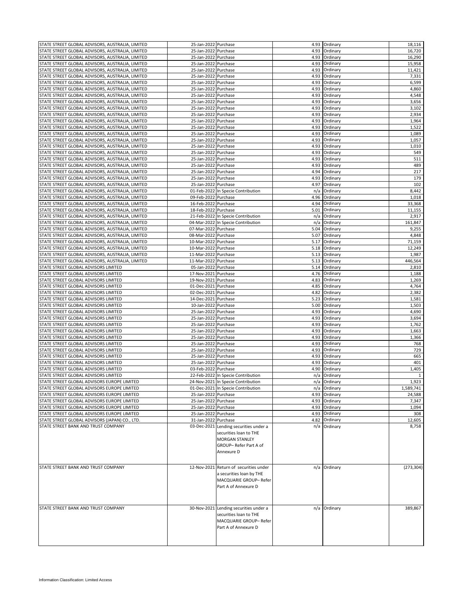| STATE STREET GLOBAL ADVISORS, AUSTRALIA, LIMITED | 25-Jan-2022 Purchase |                                                                  |      | 4.93 Ordinary | 18,116       |
|--------------------------------------------------|----------------------|------------------------------------------------------------------|------|---------------|--------------|
| STATE STREET GLOBAL ADVISORS, AUSTRALIA, LIMITED | 25-Jan-2022 Purchase |                                                                  | 4.93 | Ordinary      | 16,720       |
| STATE STREET GLOBAL ADVISORS, AUSTRALIA, LIMITED | 25-Jan-2022 Purchase |                                                                  | 4.93 | Ordinary      | 16,290       |
| STATE STREET GLOBAL ADVISORS, AUSTRALIA, LIMITED |                      |                                                                  |      | Ordinary      |              |
|                                                  | 25-Jan-2022 Purchase |                                                                  | 4.93 |               | 15,958       |
| STATE STREET GLOBAL ADVISORS, AUSTRALIA, LIMITED | 25-Jan-2022 Purchase |                                                                  | 4.93 | Ordinary      | 11,421       |
| STATE STREET GLOBAL ADVISORS, AUSTRALIA, LIMITED | 25-Jan-2022 Purchase |                                                                  | 4.93 | Ordinary      | 7,331        |
| STATE STREET GLOBAL ADVISORS, AUSTRALIA, LIMITED | 25-Jan-2022 Purchase |                                                                  | 4.93 | Ordinary      | 6,599        |
| STATE STREET GLOBAL ADVISORS, AUSTRALIA, LIMITED | 25-Jan-2022 Purchase |                                                                  | 4.93 | Ordinary      | 4,860        |
| STATE STREET GLOBAL ADVISORS, AUSTRALIA, LIMITED | 25-Jan-2022 Purchase |                                                                  | 4.93 | Ordinary      | 4,548        |
| STATE STREET GLOBAL ADVISORS, AUSTRALIA, LIMITED | 25-Jan-2022 Purchase |                                                                  | 4.93 | Ordinary      | 3,656        |
| STATE STREET GLOBAL ADVISORS, AUSTRALIA, LIMITED | 25-Jan-2022 Purchase |                                                                  | 4.93 | Ordinary      | 3,102        |
| STATE STREET GLOBAL ADVISORS, AUSTRALIA, LIMITED | 25-Jan-2022 Purchase |                                                                  | 4.93 | Ordinary      | 2,934        |
|                                                  |                      |                                                                  |      |               |              |
| STATE STREET GLOBAL ADVISORS, AUSTRALIA, LIMITED | 25-Jan-2022          | Purchase                                                         | 4.93 | Ordinary      | 1,964        |
| STATE STREET GLOBAL ADVISORS, AUSTRALIA, LIMITED | 25-Jan-2022 Purchase |                                                                  | 4.93 | Ordinary      | 1,522        |
| STATE STREET GLOBAL ADVISORS, AUSTRALIA, LIMITED | 25-Jan-2022 Purchase |                                                                  | 4.93 | Ordinary      | 1,089        |
| STATE STREET GLOBAL ADVISORS, AUSTRALIA, LIMITED | 25-Jan-2022 Purchase |                                                                  | 4.93 | Ordinary      | 1,057        |
| STATE STREET GLOBAL ADVISORS, AUSTRALIA, LIMITED | 25-Jan-2022 Purchase |                                                                  | 4.93 | Ordinary      | 1,010        |
| STATE STREET GLOBAL ADVISORS, AUSTRALIA, LIMITED | 25-Jan-2022 Purchase |                                                                  | 4.93 | Ordinary      | 549          |
| STATE STREET GLOBAL ADVISORS, AUSTRALIA, LIMITED | 25-Jan-2022          | Purchase                                                         | 4.93 | Ordinary      | 511          |
| STATE STREET GLOBAL ADVISORS, AUSTRALIA, LIMITED | 25-Jan-2022 Purchase |                                                                  | 4.93 | Ordinary      | 489          |
|                                                  |                      |                                                                  |      |               |              |
| STATE STREET GLOBAL ADVISORS, AUSTRALIA, LIMITED | 25-Jan-2022 Purchase |                                                                  | 4.94 | Ordinary      | 217          |
| STATE STREET GLOBAL ADVISORS, AUSTRALIA, LIMITED | 25-Jan-2022 Purchase |                                                                  | 4.93 | Ordinary      | 179          |
| STATE STREET GLOBAL ADVISORS, AUSTRALIA, LIMITED | 25-Jan-2022 Purchase |                                                                  | 4.97 | Ordinary      | 102          |
| STATE STREET GLOBAL ADVISORS, AUSTRALIA, LIMITED |                      | 01-Feb-2022 In Specie Contribution                               | n/a  | Ordinary      | 8,442        |
| STATE STREET GLOBAL ADVISORS, AUSTRALIA, LIMITED | 09-Feb-2022 Purchase |                                                                  | 4.96 | Ordinary      | 1,018        |
| STATE STREET GLOBAL ADVISORS, AUSTRALIA, LIMITED | 16-Feb-2022 Purchase |                                                                  | 4.94 | Ordinary      | 33,368       |
| STATE STREET GLOBAL ADVISORS, AUSTRALIA, LIMITED | 18-Feb-2022 Purchase |                                                                  | 5.01 | Ordinary      | 11,155       |
|                                                  |                      |                                                                  |      |               |              |
| STATE STREET GLOBAL ADVISORS, AUSTRALIA, LIMITED |                      | 21-Feb-2022 In Specie Contribution                               | n/a  | Ordinary      | 2,917        |
| STATE STREET GLOBAL ADVISORS, AUSTRALIA, LIMITED |                      | 04-Mar-2022 In Specie Contribution                               | n/a  | Ordinary      | 161,847      |
| STATE STREET GLOBAL ADVISORS, AUSTRALIA, LIMITED | 07-Mar-2022 Purchase |                                                                  | 5.04 | Ordinary      | 9,255        |
| STATE STREET GLOBAL ADVISORS, AUSTRALIA, LIMITED | 08-Mar-2022 Purchase |                                                                  | 5.07 | Ordinary      | 4,848        |
| STATE STREET GLOBAL ADVISORS, AUSTRALIA, LIMITED | 10-Mar-2022 Purchase |                                                                  | 5.17 | Ordinary      | 71,159       |
| STATE STREET GLOBAL ADVISORS, AUSTRALIA, LIMITED | 10-Mar-2022 Purchase |                                                                  | 5.18 | Ordinary      | 12,249       |
| STATE STREET GLOBAL ADVISORS, AUSTRALIA, LIMITED | 11-Mar-2022 Purchase |                                                                  | 5.13 | Ordinary      | 1,987        |
| STATE STREET GLOBAL ADVISORS, AUSTRALIA, LIMITED | 11-Mar-2022 Purchase |                                                                  | 5.13 | Ordinary      | 446,564      |
|                                                  |                      |                                                                  |      |               |              |
| STATE STREET GLOBAL ADVISORS LIMITED             | 05-Jan-2022 Purchase |                                                                  |      | 5.14 Ordinary | 2,810        |
| STATE STREET GLOBAL ADVISORS LIMITED             | 17-Nov-2021 Purchase |                                                                  | 4.76 | Ordinary      | 1,188        |
| STATE STREET GLOBAL ADVISORS LIMITED             | 19-Nov-2021 Purchase |                                                                  | 4.83 | Ordinary      | 1,269        |
| STATE STREET GLOBAL ADVISORS LIMITED             | 01-Dec-2021 Purchase |                                                                  | 4.85 | Ordinary      | 4,764        |
| STATE STREET GLOBAL ADVISORS LIMITED             | 02-Dec-2021 Purchase |                                                                  | 4.82 | Ordinary      | 2,382        |
| STATE STREET GLOBAL ADVISORS LIMITED             | 14-Dec-2021 Purchase |                                                                  | 5.23 | Ordinary      | 1,581        |
| STATE STREET GLOBAL ADVISORS LIMITED             | 10-Jan-2022 Purchase |                                                                  | 5.00 | Ordinary      | 1,503        |
|                                                  |                      |                                                                  |      |               |              |
| STATE STREET GLOBAL ADVISORS LIMITED             | 25-Jan-2022          | Purchase                                                         | 4.93 | Ordinary      | 4,690        |
| STATE STREET GLOBAL ADVISORS LIMITED             | 25-Jan-2022 Purchase |                                                                  | 4.93 | Ordinary      | 3,694        |
| STATE STREET GLOBAL ADVISORS LIMITED             | 25-Jan-2022 Purchase |                                                                  | 4.93 | Ordinary      | 1,762        |
| STATE STREET GLOBAL ADVISORS LIMITED             | 25-Jan-2022 Purchase |                                                                  | 4.93 | Ordinary      | 1,663        |
| STATE STREET GLOBAL ADVISORS LIMITED             | 25-Jan-2022 Purchase |                                                                  | 4.93 | Ordinary      | 1,366        |
| STATE STREET GLOBAL ADVISORS LIMITED             | 25-Jan-2022 Purchase |                                                                  | 4.93 | Ordinary      | 768          |
| STATE STREET GLOBAL ADVISORS LIMITED             | 25-Jan-2022 Purchase |                                                                  | 4.93 | Ordinary      | 729          |
| STATE STREET GLOBAL ADVISORS LIMITED             | 25-Jan-2022 Purchase |                                                                  | 4.93 | Ordinary      | 665          |
|                                                  |                      |                                                                  |      |               |              |
| STATE STREET GLOBAL ADVISORS LIMITED             | 25-Jan-2022 Purchase |                                                                  | 4.93 | Ordinary      | 401          |
| STATE STREET GLOBAL ADVISORS LIMITED             | 03-Feb-2022 Purchase |                                                                  | 4.90 | Ordinary      | 1,405        |
| STATE STREET GLOBAL ADVISORS LIMITED             |                      | 22-Feb-2022 In Specie Contribution                               | n/a  | Ordinary      | $\mathbf{1}$ |
| STATE STREET GLOBAL ADVISORS EUROPE LIMITED      |                      | 24-Nov-2021 In Specie Contribution                               |      | n/a Ordinary  | 1,923        |
| STATE STREET GLOBAL ADVISORS EUROPE LIMITED      |                      | 01-Dec-2021 In Specie Contribution                               |      | n/a Ordinary  | 1,589,741    |
| STATE STREET GLOBAL ADVISORS EUROPE LIMITED      | 25-Jan-2022 Purchase |                                                                  |      | 4.93 Ordinary | 24,588       |
| STATE STREET GLOBAL ADVISORS EUROPE LIMITED      | 25-Jan-2022 Purchase |                                                                  |      | 4.93 Ordinary | 7,347        |
| STATE STREET GLOBAL ADVISORS EUROPE LIMITED      | 25-Jan-2022 Purchase |                                                                  |      | 4.93 Ordinary | 1,094        |
|                                                  | 25-Jan-2022 Purchase |                                                                  |      | 4.93 Ordinary |              |
| STATE STREET GLOBAL ADVISORS EUROPE LIMITED      |                      |                                                                  |      |               | 308          |
| STATE STREET GLOBAL ADVISORS (JAPAN) CO., LTD.   | 31-Jan-2022 Purchase |                                                                  |      | 4.82 Ordinary | 12,605       |
| STATE STREET BANK AND TRUST COMPANY              |                      | 03-Dec-2021 Lending securities under a<br>securities loan to THE |      | n/a Ordinary  | 8,758        |
|                                                  |                      | <b>MORGAN STANLEY</b>                                            |      |               |              |
|                                                  |                      |                                                                  |      |               |              |
|                                                  |                      | GROUP-Refer Part A of                                            |      |               |              |
|                                                  |                      | Annexure D                                                       |      |               |              |
|                                                  |                      |                                                                  |      |               |              |
| STATE STREET BANK AND TRUST COMPANY              |                      | 12-Nov-2021 Return of securities under                           |      | n/a Ordinary  | (273, 304)   |
|                                                  |                      |                                                                  |      |               |              |
|                                                  |                      | a securities loan by THE                                         |      |               |              |
|                                                  |                      | MACQUARIE GROUP- Refer                                           |      |               |              |
|                                                  |                      | Part A of Annexure D                                             |      |               |              |
|                                                  |                      |                                                                  |      |               |              |
|                                                  |                      |                                                                  |      |               |              |
|                                                  |                      |                                                                  |      |               |              |
| STATE STREET BANK AND TRUST COMPANY              |                      | 30-Nov-2021 Lending securities under a                           |      | n/a Ordinary  | 389,867      |
|                                                  |                      | securities loan to THE                                           |      |               |              |
|                                                  |                      | MACQUARIE GROUP- Refer                                           |      |               |              |
|                                                  |                      | Part A of Annexure D                                             |      |               |              |
|                                                  |                      |                                                                  |      |               |              |
|                                                  |                      |                                                                  |      |               |              |
|                                                  |                      |                                                                  |      |               |              |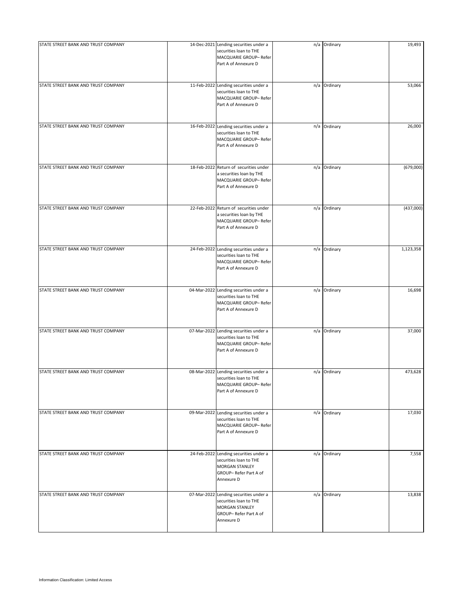| STATE STREET BANK AND TRUST COMPANY | 14-Dec-2021 Lending securities under a<br>securities loan to THE<br>MACQUARIE GROUP-Refer<br>Part A of Annexure D         | n/a Ordinary | 19,493    |
|-------------------------------------|---------------------------------------------------------------------------------------------------------------------------|--------------|-----------|
| STATE STREET BANK AND TRUST COMPANY | 11-Feb-2022 Lending securities under a<br>securities loan to THE<br>MACQUARIE GROUP- Refer<br>Part A of Annexure D        | n/a Ordinary | 53,066    |
| STATE STREET BANK AND TRUST COMPANY | 16-Feb-2022 Lending securities under a<br>securities loan to THE<br>MACQUARIE GROUP- Refer<br>Part A of Annexure D        | n/a Ordinary | 26,000    |
| STATE STREET BANK AND TRUST COMPANY | 18-Feb-2022 Return of securities under<br>a securities loan by THE<br>MACQUARIE GROUP- Refer<br>Part A of Annexure D      | n/a Ordinary | (679,000) |
| STATE STREET BANK AND TRUST COMPANY | 22-Feb-2022 Return of securities under<br>a securities loan by THE<br>MACQUARIE GROUP- Refer<br>Part A of Annexure D      | n/a Ordinary | (437,000) |
| STATE STREET BANK AND TRUST COMPANY | 24-Feb-2022 Lending securities under a<br>securities loan to THE<br>MACQUARIE GROUP- Refer<br>Part A of Annexure D        | n/a Ordinary | 1,123,358 |
| STATE STREET BANK AND TRUST COMPANY | 04-Mar-2022 Lending securities under a<br>securities loan to THE<br>MACQUARIE GROUP-Refer<br>Part A of Annexure D         | n/a Ordinary | 16,698    |
| STATE STREET BANK AND TRUST COMPANY | 07-Mar-2022 Lending securities under a<br>securities loan to THE<br>MACQUARIE GROUP-Refer<br>Part A of Annexure D         | n/a Ordinary | 37,000    |
| STATE STREET BANK AND TRUST COMPANY | 08-Mar-2022 Lending securities under a<br>securities loan to THE<br>MACQUARIE GROUP- Refer<br>Part A of Annexure D        | n/a Ordinary | 473,628   |
| STATE STREET BANK AND TRUST COMPANY | 09-Mar-2022 Lending securities under a<br>securities loan to THE<br>MACQUARIE GROUP-Refer<br>Part A of Annexure D         | n/a Ordinary | 17,030    |
| STATE STREET BANK AND TRUST COMPANY | 24-Feb-2022 Lending securities under a<br>securities loan to THE<br>MORGAN STANLEY<br>GROUP-Refer Part A of<br>Annexure D | n/a Ordinary | 7,558     |
| STATE STREET BANK AND TRUST COMPANY | 07-Mar-2022 Lending securities under a<br>securities loan to THE<br>MORGAN STANLEY<br>GROUP-Refer Part A of<br>Annexure D | n/a Ordinary | 13,838    |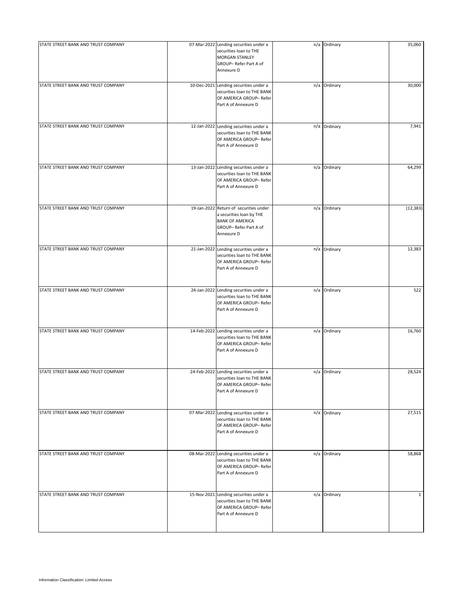| STATE STREET BANK AND TRUST COMPANY | 07-Mar-2022 Lending securities under a<br>securities loan to THE<br>MORGAN STANLEY<br>GROUP-Refer Part A of<br>Annexure D           | n/a Ordinary | 35,060       |
|-------------------------------------|-------------------------------------------------------------------------------------------------------------------------------------|--------------|--------------|
| STATE STREET BANK AND TRUST COMPANY | 10-Dec-2021 Lending securities under a<br>securities loan to THE BANK<br>OF AMERICA GROUP- Refer<br>Part A of Annexure D            | n/a Ordinary | 30,000       |
| STATE STREET BANK AND TRUST COMPANY | 12-Jan-2022 Lending securities under a<br>securities loan to THE BANK<br>OF AMERICA GROUP- Refer<br>Part A of Annexure D            | n/a Ordinary | 7,941        |
| STATE STREET BANK AND TRUST COMPANY | 13-Jan-2022 Lending securities under a<br>securities loan to THE BANK<br>OF AMERICA GROUP- Refer<br>Part A of Annexure D            | n/a Ordinary | 64,299       |
| STATE STREET BANK AND TRUST COMPANY | 19-Jan-2022 Return of securities under<br>a securities loan by THE<br><b>BANK OF AMERICA</b><br>GROUP-Refer Part A of<br>Annexure D | n/a Ordinary | (12, 383)    |
| STATE STREET BANK AND TRUST COMPANY | 21-Jan-2022 Lending securities under a<br>securities loan to THE BANK<br>OF AMERICA GROUP- Refer<br>Part A of Annexure D            | n/a Ordinary | 12,383       |
| STATE STREET BANK AND TRUST COMPANY | 24-Jan-2022 Lending securities under a<br>securities loan to THE BANK<br>OF AMERICA GROUP- Refer<br>Part A of Annexure D            | n/a Ordinary | 522          |
| STATE STREET BANK AND TRUST COMPANY | 14-Feb-2022 Lending securities under a<br>securities loan to THE BANK<br>OF AMERICA GROUP- Refer<br>Part A of Annexure D            | n/a Ordinary | 16,760       |
| STATE STREET BANK AND TRUST COMPANY | 24-Feb-2022 Lending securities under a<br>securities loan to THE BANK<br>OF AMERICA GROUP- Refer<br>Part A of Annexure D            | n/a Ordinary | 28,524       |
| STATE STREET BANK AND TRUST COMPANY | 07-Mar-2022 Lending securities under a<br>securities loan to THE BANK<br>OF AMERICA GROUP- Refer<br>Part A of Annexure D            | n/a Ordinary | 27,515       |
| STATE STREET BANK AND TRUST COMPANY | 08-Mar-2022 Lending securities under a<br>securities loan to THE BANK<br>OF AMERICA GROUP- Refer<br>Part A of Annexure D            | n/a Ordinary | 58,868       |
| STATE STREET BANK AND TRUST COMPANY | 15-Nov-2021 Lending securities under a<br>securities loan to THE BANK<br>OF AMERICA GROUP- Refer<br>Part A of Annexure D            | n/a Ordinary | $\mathbf{1}$ |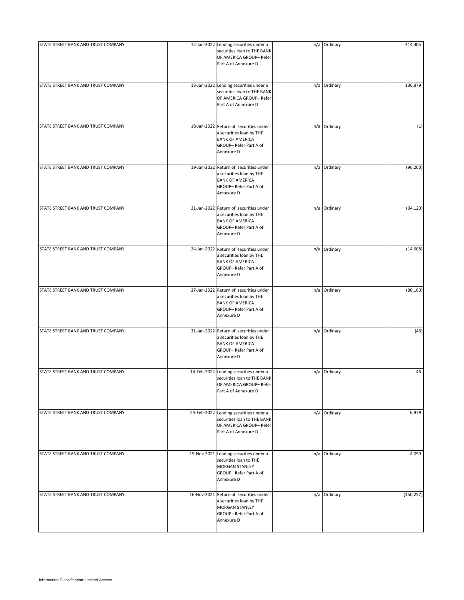| STATE STREET BANK AND TRUST COMPANY | 12-Jan-2022 Lending securities under a<br>securities loan to THE BANK<br>OF AMERICA GROUP- Refer<br>Part A of Annexure D            | n/a Ordinary | 314,405    |
|-------------------------------------|-------------------------------------------------------------------------------------------------------------------------------------|--------------|------------|
| STATE STREET BANK AND TRUST COMPANY | 13-Jan-2022 Lending securities under a<br>securities loan to THE BANK<br>OF AMERICA GROUP- Refer<br>Part A of Annexure D            | n/a Ordinary | 136,879    |
| STATE STREET BANK AND TRUST COMPANY | 18-Jan-2022 Return of securities under<br>a securities loan by THE<br><b>BANK OF AMERICA</b><br>GROUP-Refer Part A of<br>Annexure D | n/a Ordinary | (1)        |
| STATE STREET BANK AND TRUST COMPANY | 19-Jan-2022 Return of securities under<br>a securities loan by THE<br><b>BANK OF AMERICA</b><br>GROUP-Refer Part A of<br>Annexure D | n/a Ordinary | (96, 200)  |
| STATE STREET BANK AND TRUST COMPANY | 21-Jan-2022 Return of securities under<br>a securities loan by THE<br><b>BANK OF AMERICA</b><br>GROUP-Refer Part A of<br>Annexure D | n/a Ordinary | (34, 120)  |
| STATE STREET BANK AND TRUST COMPANY | 24-Jan-2022 Return of securities under<br>a securities loan by THE<br><b>BANK OF AMERICA</b><br>GROUP-Refer Part A of<br>Annexure D | n/a Ordinary | (14, 608)  |
| STATE STREET BANK AND TRUST COMPANY | 27-Jan-2022 Return of securities under<br>a securities loan by THE<br><b>BANK OF AMERICA</b><br>GROUP-Refer Part A of<br>Annexure D | n/a Ordinary | (86, 100)  |
| STATE STREET BANK AND TRUST COMPANY | 31-Jan-2022 Return of securities under<br>a securities loan by THE<br><b>BANK OF AMERICA</b><br>GROUP-Refer Part A of<br>Annexure D | n/a Ordinary | (46)       |
| STATE STREET BANK AND TRUST COMPANY | 14-Feb-2022 Lending securities under a<br>securities loan to THE BANK<br>OF AMERICA GROUP- Refer<br>Part A of Annexure D            | n/a Ordinary | 46         |
| STATE STREET BANK AND TRUST COMPANY | 24-Feb-2022 Lending securities under a<br>securities loan to THE BANK<br>OF AMERICA GROUP- Refer<br>Part A of Annexure D            | n/a Ordinary | 6,979      |
| STATE STREET BANK AND TRUST COMPANY | 15-Nov-2021 Lending securities under a<br>securities loan to THE<br>MORGAN STANLEY<br>GROUP-Refer Part A of<br>Annexure D           | n/a Ordinary | 4,059      |
| STATE STREET BANK AND TRUST COMPANY | 16-Nov-2021 Return of securities under<br>a securities loan by THE<br>MORGAN STANLEY<br>GROUP-Refer Part A of<br>Annexure D         | n/a Ordinary | (150, 257) |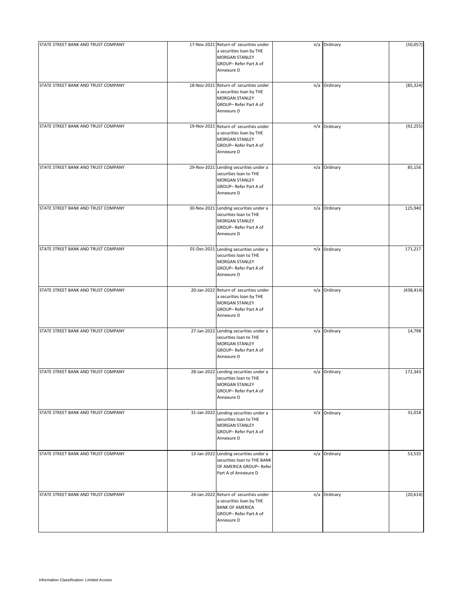| STATE STREET BANK AND TRUST COMPANY | 17-Nov-2021 Return of securities under<br>a securities loan by THE<br>MORGAN STANLEY<br>GROUP-Refer Part A of<br>Annexure D         | n/a Ordinary | (50,057)   |
|-------------------------------------|-------------------------------------------------------------------------------------------------------------------------------------|--------------|------------|
| STATE STREET BANK AND TRUST COMPANY | 18-Nov-2021 Return of securities under<br>a securities loan by THE<br>MORGAN STANLEY<br>GROUP-Refer Part A of<br>Annexure D         | n/a Ordinary | (85, 324)  |
| STATE STREET BANK AND TRUST COMPANY | 19-Nov-2021 Return of securities under<br>a securities loan by THE<br>MORGAN STANLEY<br>GROUP-Refer Part A of<br>Annexure D         | n/a Ordinary | (92, 255)  |
| STATE STREET BANK AND TRUST COMPANY | 29-Nov-2021 Lending securities under a<br>securities loan to THE<br>MORGAN STANLEY<br>GROUP-Refer Part A of<br>Annexure D           | n/a Ordinary | 85,156     |
| STATE STREET BANK AND TRUST COMPANY | 30-Nov-2021 Lending securities under a<br>securities loan to THE<br>MORGAN STANLEY<br>GROUP-Refer Part A of<br>Annexure D           | n/a Ordinary | 125,940    |
| STATE STREET BANK AND TRUST COMPANY | 01-Dec-2021 Lending securities under a<br>securities loan to THE<br>MORGAN STANLEY<br>GROUP-Refer Part A of<br>Annexure D           | n/a Ordinary | 171,217    |
| STATE STREET BANK AND TRUST COMPANY | 20-Jan-2022 Return of securities under<br>a securities loan by THE<br>MORGAN STANLEY<br>GROUP-Refer Part A of<br>Annexure D         | n/a Ordinary | (438, 414) |
| STATE STREET BANK AND TRUST COMPANY | 27-Jan-2022 Lending securities under a<br>securities loan to THE<br>MORGAN STANLEY<br>GROUP-Refer Part A of<br>Annexure D           | n/a Ordinary | 14,798     |
| STATE STREET BANK AND TRUST COMPANY | 28-Jan-2022 Lending securities under a<br>securities loan to THE<br>MORGAN STANLEY<br>GROUP-Refer Part A of<br>Annexure D           | n/a Ordinary | 172,343    |
| STATE STREET BANK AND TRUST COMPANY | 31-Jan-2022 Lending securities under a<br>securities loan to THE<br>MORGAN STANLEY<br>GROUP-Refer Part A of<br>Annexure D           | n/a Ordinary | 31,018     |
| STATE STREET BANK AND TRUST COMPANY | 13-Jan-2022 Lending securities under a<br>securities loan to THE BANK<br>OF AMERICA GROUP- Refer<br>Part A of Annexure D            | n/a Ordinary | 53,535     |
| STATE STREET BANK AND TRUST COMPANY | 24-Jan-2022 Return of securities under<br>a securities loan by THE<br><b>BANK OF AMERICA</b><br>GROUP-Refer Part A of<br>Annexure D | n/a Ordinary | (20, 614)  |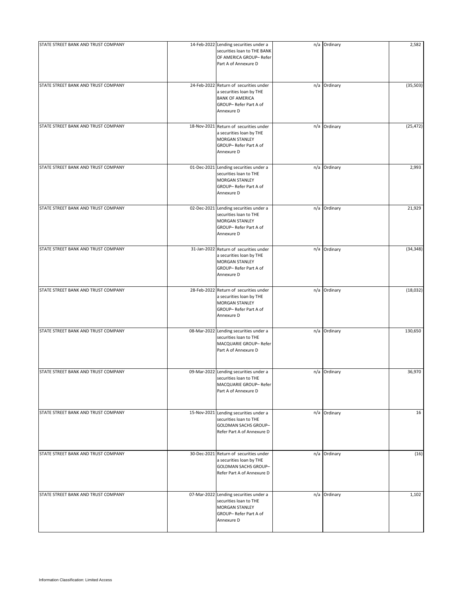| STATE STREET BANK AND TRUST COMPANY | 14-Feb-2022 Lending securities under a<br>securities loan to THE BANK<br>OF AMERICA GROUP- Refer<br>Part A of Annexure D            | n/a Ordinary | 2,582     |
|-------------------------------------|-------------------------------------------------------------------------------------------------------------------------------------|--------------|-----------|
| STATE STREET BANK AND TRUST COMPANY | 24-Feb-2022 Return of securities under<br>a securities loan by THE<br><b>BANK OF AMERICA</b><br>GROUP-Refer Part A of<br>Annexure D | n/a Ordinary | (35, 503) |
| STATE STREET BANK AND TRUST COMPANY | 18-Nov-2021 Return of securities under<br>a securities loan by THE<br><b>MORGAN STANLEY</b><br>GROUP-Refer Part A of<br>Annexure D  | n/a Ordinary | (25, 472) |
| STATE STREET BANK AND TRUST COMPANY | 01-Dec-2021 Lending securities under a<br>securities loan to THE<br>MORGAN STANLEY<br>GROUP-Refer Part A of<br>Annexure D           | n/a Ordinary | 2,993     |
| STATE STREET BANK AND TRUST COMPANY | 02-Dec-2021 Lending securities under a<br>securities loan to THE<br>MORGAN STANLEY<br>GROUP-Refer Part A of<br>Annexure D           | n/a Ordinary | 21,929    |
| STATE STREET BANK AND TRUST COMPANY | 31-Jan-2022 Return of securities under<br>a securities loan by THE<br>MORGAN STANLEY<br>GROUP-Refer Part A of<br>Annexure D         | n/a Ordinary | (34, 348) |
| STATE STREET BANK AND TRUST COMPANY | 28-Feb-2022 Return of securities under<br>a securities loan by THE<br>MORGAN STANLEY<br>GROUP-Refer Part A of<br>Annexure D         | n/a Ordinary | (18, 032) |
| STATE STREET BANK AND TRUST COMPANY | 08-Mar-2022 Lending securities under a<br>securities loan to THE<br>MACQUARIE GROUP- Refer<br>Part A of Annexure D                  | n/a Ordinary | 130,650   |
| STATE STREET BANK AND TRUST COMPANY | 09-Mar-2022 Lending securities under a<br>securities loan to THE<br>MACQUARIE GROUP- Refer<br>Part A of Annexure D                  | n/a Ordinary | 36,970    |
| STATE STREET BANK AND TRUST COMPANY | 15-Nov-2021 Lending securities under a<br>securities loan to THE<br>GOLDMAN SACHS GROUP-<br>Refer Part A of Annexure D              | n/a Ordinary | 16        |
| STATE STREET BANK AND TRUST COMPANY | 30-Dec-2021 Return of securities under<br>a securities loan by THE<br>GOLDMAN SACHS GROUP-<br>Refer Part A of Annexure D            | n/a Ordinary | (16)      |
| STATE STREET BANK AND TRUST COMPANY | 07-Mar-2022 Lending securities under a<br>securities loan to THE<br>MORGAN STANLEY<br>GROUP-Refer Part A of<br>Annexure D           | n/a Ordinary | 1,102     |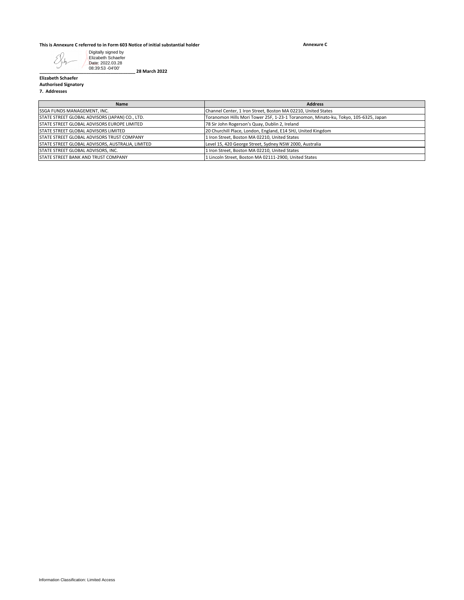## **This is Annexure C referred to in Form 603 Notice of initial substantial holder**

**Annexure C**



**\_\_\_\_\_\_\_\_\_\_\_\_\_\_\_\_\_\_\_\_\_\_\_\_\_\_\_\_\_\_\_\_\_\_\_\_\_\_\_ 28 March 2022**

**Elizabeth Schaefer Authorised Signatory**

**7. Addresses**

| Name                                              | <b>Address</b>                                                                      |
|---------------------------------------------------|-------------------------------------------------------------------------------------|
| SSGA FUNDS MANAGEMENT, INC.                       | Channel Center, 1 Iron Street, Boston MA 02210, United States                       |
| STATE STREET GLOBAL ADVISORS (JAPAN) CO., LTD.    | Toranomon Hills Mori Tower 25F, 1-23-1 Toranomon, Minato-ku, Tokyo, 105-6325, Japan |
| STATE STREET GLOBAL ADVISORS EUROPE LIMITED       | 78 Sir John Rogerson's Quay, Dublin 2, Ireland                                      |
| <b>STATE STREET GLOBAL ADVISORS LIMITED</b>       | 20 Churchill Place, London, England, E14 5HJ, United Kingdom                        |
| <b>STATE STREET GLOBAL ADVISORS TRUST COMPANY</b> | 1 Iron Street, Boston MA 02210, United States                                       |
| STATE STREET GLOBAL ADVISORS, AUSTRALIA, LIMITED  | Level 15, 420 George Street, Sydney NSW 2000, Australia                             |
| STATE STREET GLOBAL ADVISORS, INC.                | 1 Iron Street, Boston MA 02210, United States                                       |
| <b>STATE STREET BANK AND TRUST COMPANY</b>        | 1 Lincoln Street, Boston MA 02111-2900, United States                               |